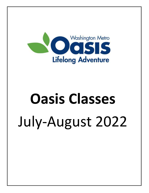

# **Oasis Classes** July-August 2022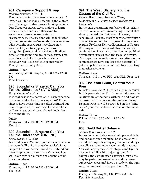# **901 Caregivers Support Group**

*Roberta Drucker, LCSW-C*

Even when caring for a loved one is an act of love, it still takes many new skills and a great deal of energy. It also raises a lot of questions. Our Caregiver Series offers a place to learn from the experiences of others and to encourage those who are in similar circumstances. The sessions will be facilitated by compassionate professionals. Some sessions will spotlight expert guest speakers on a variety of topics to support you in your caregiving journey. Most sessions will allow time for questions and group discussion. This group is strictly for those who are in a caregiver role. This series is sponsored by Family and Nursing Care.

#### **Online Class**

Wednesday, Jul 6 - Aug 17, 11:00 AM - 12:00 PM Free 4 sessions

# **390 Soundalike Singers: Can You Tell the Difference? (AT OASIS)**

#### *Daryl Davis, Musician*

Is it real or is it Memorex, or is it someone who just sounds like the hit-making artist? Some singers have voices that are often imitated but never duplicated, or are they? Come see how well your ears can discern the originals from the soundalikes.

#### **Oasis**

Thursday, Jul 7, 10:30 AM - 12:00 PM Fee: \$18

# **390 Soundalike Singers: Can You Tell the Difference? (ONLINE)**

#### *Daryl Davis, Musician*

Is it real or is it Memorex, or is it someone who just sounds like the hit-making artist? Some singers have voices that are often imitated but never duplicated, or are they? Come see how well your ears can discern the originals from the soundalikes.

## **Online Class**

Thursday, Jul 7, 10:30 AM - 12:00 PM Fee: \$18

## **391 The West, Slavery, and the Causes of the Civil War**

*Denver Brunsman, Associate Chair, Department of History, George Washington University*

In the past generation, professional historians have to come to near universal agreement that slavery caused the Civil War. However, scholars still debate exactly how the institution divided the nation. In this presentation, Oasis regular Professor Denver Brunsman of George Washington University will discuss how the combination of western expansion and political dysfunction exacerbated the issue of slavery. This topic has recently gained new attention as commentators have explored the potential of political polarization in our own time resulting in another civil war.

#### **Online Class**

Thursday, Jul 7, 1:00 PM - 2:30 PM, Fee: \$18

# **392 Use Your Brain, Control Your Pain**

*Donald Pelles, Ph.D., Certified Hypnotherapist* In this presentation, Dr. Pelles will discuss the relationship of the mind with pain and how we can use that to reduce or eliminate suffering. Demonstrations will be provided on the "mind tricks" you can use to reduce and/or eliminate pain.

#### **Online Class**

Friday, Jul 8, 10:30 AM - 11:30 AM Free

# **903 Build Better Balance**

*Aubrey Reinmiller, PT, CPT*

Improving your balance can help prevent falls and enhance your mobility! Each session will include strength training of your core and legs as well as stretching for common tight areas. You will learn practical strategies and tips for preventing falls while enjoying some fun balance and coordination exercises. Exercises may be performed seated or standing. Wear supportive shoes and have a sturdy chair, light weights, and water with you. Limit 25.

#### **Online Class**

Friday, Jul 8 - Aug 26, 1:30 PM - 2:30 PM Fee: \$96 8 sessions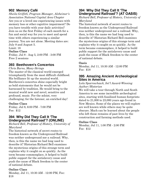# **902 Memory Café**

*Sheila Griffith, Program Manager, Alzheimer's Association National Capital Area Chapter* Are you or a loved one experiencing issues with memory loss or other cognitive impairment? Do you have trouble with your daily activities? Join us on the first Friday of each month for a fun and social way for you to meet and spend time with others experiencing a similar journey. You are not alone. Meeting dates are: July 8 and August 5.

Limit: 18

#### **Online Class**

Friday, Jul 8 - Aug 5, 2:00 PM - 3:00 PM Free 2 sessions

## **393 Beethoven's Concertos**

*Chris Burns, Many-Strings* The master of the classical world emerged triumphantly from the most difficult childhood. His brilliance lit up the musical world. Beethoven's concertos shine especially bright as bold statements that he would not be harnessed by tradition. He would bring to the musical world new and novel, sensitive and profound, music. For the soloist, very challenging; for the listener, an enriched day!

#### **Online Class**

Friday, Jul 8, 6:00 PM - 7:00 PM Fee: \$12

## **394 Why Did They Call It 'The Underground Railroad'? (ONLINE)**

#### *Richard Bell, Professor of History, University of Maryland*

The historical network of secret routes to freedom known as the Underground Railroad was neither underground nor a railroad. Why, then, is this the name we had long used to describe it? Historian Richard Bell examines the mysterious origins of this strange term and explains why it caught on so quickly. As the term became commonplace, it helped to build public support for the antislavery cause and push the cause of Black freedom to the center of national debate.

#### **Online Class**

Monday, Jul 11, 10:30 AM - 12:00 PM, Fee: \$18

# **394 Why Did They Call It 'The Underground Railroad'? (AT OASIS)**

*Richard Bell, Professor of History, University of Maryland*

The historical network of secret routes to freedom known as the Underground Railroad was neither underground nor a railroad. Why, then, is this the name we had long used to describe it? Historian Richard Bell examines the mysterious origins of this strange term and explains why it caught on so quickly. As the term became commonplace, it helped to build public support for the antislavery cause and push the cause of Black freedom to the center of national debate.

#### **Oasis**

Monday, Jul 11, 10:30 AM - 12:00 PM Fee: \$18

## **395 Amazing Ancient Archeological Sites in America**

#### *Lola Sparrowhawk, Int'l Award-Winning Author/Historian*

We will take a tour through North and South America to see some incredible archeological sites, starting with fossilized human footprints dated to 21,000 to 23,000 years ago found in New Mexico. Some of the places we will explore are well known while others may be quite obscure. Much can be learned about the people who left these remains of past lives by the construction and farming methods used.

#### **Online Class**

Monday, Jul 11, 1:00 PM - 2:00 PM Fee: \$12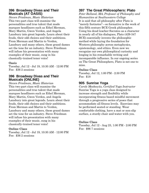#### **396 Broadway Divas and Their Musicals (AT OASIS)**

*Steven Friedman, Music Historian* This two-part class will examine the personalities and true talent that made marquee headliners such as Ethel Merman, Mary Martin, Gwen Verdon, and Angela Lansbury into great legends. Learn about their feuds, their odd choices and their ambitions. From Merman and Martin to Verdon, Lansbury and many others, these grand dames set the tone for an industry. Steve Friedman will infuse his presentation with many examples of their music, sung in his classically-trained tenor voice!

#### **Oasis**

Tuesday, Jul 12 - Jul 19, 10:30 AM - 12:00 PM Fee: \$36 2 sessions

## **396 Broadway Divas and Their Musicals (ONLINE)**

*Steven Friedman, Music Historian* This two-part class will examine the personalities and true talent that made marquee headliners such as Ethel Merman, Mary Martin, Gwen Verdon, and Angela Lansbury into great legends. Learn about their feuds, their odd choices and their ambitions. From Merman and Martin to Verdon, Lansbury and many others, these grand dames set the tone for an industry. Steve Friedman will infuse his presentation with many examples of their music, sung in his classically-trained tenor voice!

#### **Online Class**

Tuesday, Jul 12 - Jul 19, 10:30 AM - 12:00 PM Fee: \$36 2 sessions

# **397 The Great Philosophers: Plato**

*Peter Bolland, MA, Professor of Philosophy and Humanities at Southwestern College* It is said that all philosophy after Plato is "merely footnotes"—so formative is the work of this fifth century BCE Greek philosopher. Using his dead teacher Socrates as a character in nearly all of his dialogues, Plato (429-347 BCE) essentially invents the philosophic method while laying the foundation for Western philosophy across metaphysics, epistemology, and ethics. Even now we recognize our own philosophical curiosity and longing in his remarkable writing and incomparable influence. In our ongoing series on The Great Philosophers, Plato is not one to miss.

#### **Online Class**

Tuesday, Jul 12, 1:00 PM - 2:30 PM Fee: \$18

# **905 Sunrise Yoga**

*Carole Moskowitz, Certified Yoga Instructor* Sunrise Yoga is a yoga class designed to increase strength and flexibility while incorporating fitness based mindful movement through a progressive series of poses that accommodate all fitness levels. Exercises may be performed seated or standing. Wear comfortable clothing, have a mat or non-slip surface, a sturdy chair and water with you.

#### **Online Class**

Tuesday, Jul 12 - Aug 23, 1:00 PM - 2:00 PM Fee: \$96 7 sessions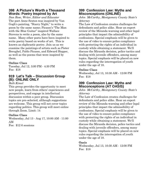## **398 A Picture's Worth a Thousand Words: Poetry Inspired by Art**

*Dan Rose, Writer, Editor and Educator* The poet Anne Sexton was inspired by Van Gogh's painting, "Starry Night," to write a poem by the same name; Picasso's "The Man with the Blue Guitar" inspired Wallace Stevens to write a poem, also by the same name. Many other poets have been inspired to write poetry based on works of art. This is known as ekphrastic poetry. Join us as we examine the paintings of artists such as Pieter Breughel, Pablo Picasso, and Edward Hopper, as well as the poems that were inspired by them.

#### **Online Class**

Tuesday, Jul 12, 3:00 PM - 4:30 PM Fee: \$18

# **919 Let's Talk – Discussion Group (B): ONLINE ONLY**

#### *Beth Kimel*

This group provides the opportunity to meet new people, learn from others' experiences and perspectives, and engage in intellectual discussion within a peer group. Discussion topics are pre-selected, although suggestions are welcome. This group will not cover topics regarding politics. This group will meet online through Zoom. Limit: 14

#### **Online Class**

Wednesday, Jul 13 - Aug 17, 10:00 AM - 11:00 AM Fee: \$12 6 sessions

## **399 Confession Law: Myths and Misconceptions (ONLINE)**

*John McCarthy, Montgomery County State's Attorney*

The Law of Confession creates challenges for defendants and police alike. Hear an expert review of the Miranda warning and other legal principles that impact the admissibility of confessions. Special emphasis will be given to the use of video to ensure police compliance with protecting the rights of an individual in custody while obtaining a statement. We'll discuss the Miranda decision, police tactics and dealing with juvenile offenders, among many topics. Special emphasis will be placed on new rules regarding the interrogation of youth under the age of 18.

#### **Online Class**

Wednesday, Jul 13, 10:30 AM - 12:00 PM Fee: \$18

# **399 Confession Law: Myths and Misconceptions (AT OASIS)**

*John McCarthy, Montgomery County State's Attorney*

The Law of Confession creates challenges for defendants and police alike. Hear an expert review of the Miranda warning and other legal principles that impact the admissibility of confessions. Special emphasis will be given to the use of video to ensure police compliance with protecting the rights of an individual in custody while obtaining a statement. We'll discuss the Miranda decision, police tactics and dealing with juvenile offenders, among many topics. Special emphasis will be placed on new rules regarding the interrogation of youth under the age of 18.

#### **Oasis**

Wednesday, Jul 13, 10:30 AM - 12:00 PM Fee: \$18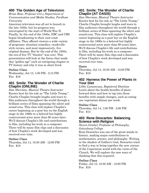# **400 The Golden Age of Television**

*Brian Rose, Professor (ret.), Department of Communication and Media Studies, Fordham University*

American television was all set to launch in the late 1930s, but its progress was interrupted by the start of World War II. Finally, by the end of the 1940s, NBC and CBS began broadcasting to their east coast affiliates. They offered viewers a wide variety of programs: situation comedies, vaudevillestyle revues, and most impressively, live original dramas. But by the end of the 1950s, the era of live TV "theater" was over. This presentation will look at the forces that made this "golden age" such an intriguing chapter in TV history and why it was so short-lived.

#### **Online Class**

Wednesday, Jul 13, 1:00 PM - 2:15 PM Fee: \$18

# **401 Smile: The Wonder of Charlie Chaplin (ONLINE)**

*Dan Sherman, Musical Theatre Instructor* Known best for his role as "The Little Tramp," Charlie Chaplin brought laughs and tears to film audiences throughout the world through a brilliant series of films spanning the silent and sound eras. This class will explore Chaplin's career beginning as a poor boy on the English stage in the 1890s to a beloved but highly controversial actor more than 60 years later. We'll discuss Chaplin's life and contributions to film, including his work as a composer. There will be many film clips and a discussion of how Chaplin's work developed and was received over time.

#### **Online Class**

Thursday, Jul 14, 10:30 AM - 12:00 PM Fee: \$18

# **401 Smile: The Wonder of Charlie Chaplin (AT OASIS)**

*Dan Sherman, Musical Theatre Instructor* Known best for his role as "The Little Tramp," Charlie Chaplin brought laughs and tears to film audiences throughout the world through a brilliant series of films spanning the silent and sound eras. This class will explore Chaplin's career beginning as a poor boy on the English stage in the 1890s to a beloved but highly controversial actor more than 60 years later. We'll discuss Chaplin's life and contributions to film, including his work as a composer. There will be many film clips and a discussion of how Chaplin's work developed and was received over time.

#### **Oasis**

Thursday, Jul 14, 10:30 AM - 12:00 PM Fee: \$18

## **402 Harness the Power of Plants in Your Diet**

*Libby Lamancusa, Registered Dietitian* Learn about the health benefits of plantforward diets and how to tap into those benefits with simple changes, such as eating one vegetarian dinner per week.

#### **Online Class**

Thursday, Jul 14, 1:00 PM - 2:00 PM Fee: \$15

#### **403 Rene Descartes: Balancing Science with Religion**

*Steven Gimbel, Professor of Philosophy, Gettysburg College*

Rene Descartes was one of the great minds in history, making major contributions to mathematics, science, and philosophy. Writing in the shadow of Galileo's trial, Descartes tried to find a way to bring together the new science of the Copernican world with the views of the Church. We will explore the new ways of thinking that this required.

#### **Online Class**

Friday, Jul 15, 10:30 AM - 12:00 PM Fee: \$18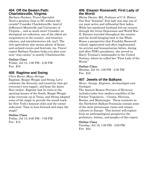## **404 Off the Beaten Path: Charlottesville, Virginia**

*Barbara Paulson, Travel Specialist* Need a getaway close to DC without the crowds? Consider Charlottesville: land of Jefferson's Monticello and University of Virginia… and so much more! Consider an aboriginal art collection, one of the oldest art cooperatives in the country, and wineries, cideries, and microbreweries (oh, my!). The rich agriculture also means plenty of farms and orchard events and festivals, too. Travel expert Barbara Paulson helps you plan your next "stay-cation" to nearby Charlottesville.

#### **Online Class**

Friday, Jul 15, 1:00 PM - 2:30 PM Fee: \$18

# **405 Ragtime and Swing**

*Chris Burns, Many-Strings* Ragtime, Boogie-Woogie and Swing: Let's celebrate the diversity and creativity that got everyone's toes tappin', and kept the dance floor rockin'. Ragtime had its roots in the sporting houses of the South, Boogie-Woogie woke everyone up in Texas, and Swing adopted some of the magic to provide the sound track for New York's fanciest clubs and the corner soda-joint. Time to lean forward and enjoy the magic!

#### **Online Class**

Friday, Jul 15, 6:00 PM - 7:00 PM Fee: \$12

## **406 Eleanor Roosevelt: First Lady of the World**

*Blaine Davies, MA, Professor of U.S. History* Our first "feminist" first lady was also one of our most active and influential first ladies. While her paralyzed husband led our country through the Great Depression and World War II, Eleanor traveled throughout the country and the world bringing back to the White House a perspective that Franklin Roosevelt valued, appreciated and often implemented. An activist and humanitarian before, during and after FDR's presidency, she served as Harry Truman's Ambassador to the United Nations, where he called her "First Lady of the World."

#### **Online Class**

Monday, Jul 18, 1:00 PM - 2:30 PM Fee: \$18

# **407 Jewels of the Balkans**

*Henry George, Engineer, Archaeologist and Geologist*

The Ancient Roman Province of Illyricum includes today four modern republics of the Former Yugoslavia – Croatia, Slovenia, Bosnia, and Montenegro. These countries in the Northwest Balkan Peninsula contain some of the most picturesque vistas and unique cultures in Europe. This lecture will explore from an anthropological perspective the prehistory, history, and peoples of this region.

#### **Online Class**

Tuesday, Jul 19, 1:00 PM - 3:00 PM Fee: \$24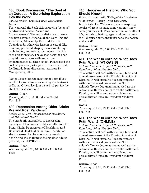#### **408 Book Discussion: "The Soul of an Octopus: A Surprising Exploration Into the Wond**

*Jonina Duker, Certified Book Discussion Leader*

Yes, you read the book title correctly: "octopus" sandwiched between "soul" and

"consciousness". The naturalist author meets her first octopus, Athena, at the New England Aquarium, followed by Kali and Karma. Cephalopods, otherwise known as octopi, like humans, get bored, display emotions through their bodies, and form attachments – in this case across species. The author describes her playful interactions with and strong attachments to all three octopi. Please read the book so you can participate in our structured, facilitated, Zoom discussion. Author: Sy Montgomery, 2015.

(Note: Please join the meeting at 3 pm if you would like some assistance using the features of Zoom. Otherwise, join us at 3:15 pm for the start of our discussion.)

#### **Online Class**

Tuesday, Jul 19, 03:00 PM - 04:30 PM Fee: \$18

# **409 Depression Among Older Adults Pre and Post Pandemic**

*Ashley Bone, MD, Department of Psychiatry and Behavioral Health*

The pandemic caused lots of depression, anxiety and loneliness in older adults. Join Dr. Bone, Chair, Department of Psychiatry and Behavioral Health at Suburban Hospital as she discusses the changes among mental health and the challenges facing older adults pre and post COVID-19.

#### **Online Class**

Wednesday, Jul 20, 10:30 AM - 11:30 AM Free

# **410 Heroines of History: Who You Should Know!**

*Robert Watson, PhD, Distinguished Professor of American History, Lynn University* In this talk, Dr. Watson will share inspiring stories of great women, some you may know, some you may not. They came from all walks of life, periods in history, ages, and occupations. We'll discuss their contributions to the nation and world!

# **Online Class**

Wednesday, Jul 20, 1:00 PM - 2:30 PM Fee: \$18

# **411 The War in Ukraine: What Does Putin Want? (AT OASIS)**

*Melvin Goodman, Adjunct Professor, Int'l Relations, Johns Hopkins Univ.* This lecture will deal with the long-term and immediate causes of the Russian invasion of Ukraine. It will examine Russian concerns with the increased powers of the North Atlantic Treaty Organization as well as the reasons for Russia's failures on the battlefield. Finally, we will examine the policies and personality of Russian President Vladimir Putin.

#### **Oasis**

Thursday, Jul 21, 10:30 AM - 12:00 PM Fee: \$18

## **411 The War in Ukraine: What Does Putin Want? (ONLINE)**

*Melvin Goodman, Adjunct Professor, Int'l Relations, Johns Hopkins Univ.*

This lecture will deal with the long-term and immediate causes of the Russian invasion of Ukraine. It will examine Russian concerns with the increased powers of the North Atlantic Treaty Organization as well as the reasons for Russia's failures on the battlefield. Finally, we will examine the policies and personality of Russian President Vladimir Putin.

## **Online Class**

Thursday, Jul 21, 10:30 AM - 12:00 PM Fee: \$18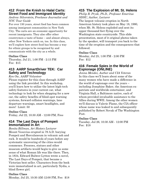# **412 From the Knish to Halal Carts: Street Food and Immigrant Identity**

#### *Andrew Silverstein, Freelance Journalist and NYC Tour Guide*

For over 150 years, street food has been common among immigrant communities in New York City. The carts are an economic opportunity for recent immigrants. They also offer other countrymen a taste of home – and almost always, other New Yorkers catch on, too. In this class, we'll explore how street food has become a way for ethnic groups to be recognized by and communicate with the city as a whole.

#### **Online Class**

Thursday, Jul 21, 1:00 PM - 2:15 PM Fee: \$15

# **413 AARP SmartDriver TEK: Car Safety and Technology**

#### *Ken Ow, AARP Volunteer*

Please register for this class through AARP using the link provided. In this workshop, you'll learn how to utilize the latest high-tech safety features in your current car, what technology to look for when shopping for a new car, the safety benefits of blind-spot warning systems, forward collision warnings, lane departure warnings, smart headlights, and more! Limit: 50

#### **Online Class**

Friday, Jul 22, 10:30 AM - 12:00 PM, Free

## **414 The Last Days of Pompeii Immortalized in Art**

*Bonita Billman, Art History Lecturer* Mount Vesuvius erupted in 79 A.D. burying Pompeii and Herculaneum in volcanic ash and rock. It would be hundreds of years before any systematic uncovering of the cities would commence. Frescoes, statues and other museum artifacts would begin to give us some sense of what Roman life was like there. Then, in 1834, Edward Bulwer-Lytton wrote a novel, The Last Days of Pompeii, that became a Victorian best-seller. Characters from the book were immortalized in art, particularly Nydia, a blind flower girl.

#### **Online Class**

Monday, Jul 25, 10:30 AM-12:00 PM, Fee: \$18

# **415 The Explosion of Mt. St. Helens**

*Philip R. Pryde, Ph.D., Professor Emeritus SDSU, Author, Lecturer*

The largest volcanic eruption in North American history took place on May 18, 1980, when Mt. St. Helens exploded and sent its upper thousand feet flying over the Washington state countryside. This slide presentation, most of it original photos taken by the speaker, will transport you back to the time of the eruption and the consequences that followed.

#### **Online Class**

Monday, Jul 25, 1:00 PM - 2:00 PM Fee: \$12

## **416 Female Spies in the World of Espionage (ONLINE)**

*Jonna Mendez, Author and CIA Veteran* In this class we'll learn about some of the many women who have made a difference in the world of espionage over the years – including Josephine Baker, the American expatriate and worldwide entertainer, and Virginia Hall, a Baltimore native, each of whom provided invaluable assistance to the Allies during WWII. Among the other women we'll discuss is Valerie Plame, the CIA officer whose name was leaked to and subsequently published by Robert Novak of The Washington Post.

#### **Online Class**

Tuesday, Jul 26, 10:30 AM - 12:00 PM Fee: \$18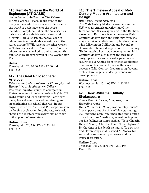## **416 Female Spies in the World of Espionage (AT OASIS)**

*Jonna Mendez, Author and CIA Veteran* In this class we'll learn about some of the many women who have made a difference in the world of espionage over the years – including Josephine Baker, the American expatriate and worldwide entertainer, and Virginia Hall, a Baltimore native, each of whom provided invaluable assistance to the Allies during WWII. Among the other women we'll discuss is Valerie Plame, the CIA officer whose name was leaked to and subsequently published by Robert Novak of The Washington Post.

#### **Oasis**

Tuesday, Jul 26, 10:30 AM - 12:00 PM Fee: \$18

# **417 The Great Philosophers: Aristotle**

*Peter Bolland, MA, Professor of Philosophy and Humanities at Southwestern College* The most important pupil to emerge from Plato's Academy in Athens, Aristotle (384-322 BCE) would end up challenging Plato's core metaphysical assertions while refining and strengthening his ethical theories. In our ongoing series on The Great Philosophers, join us for this exploration into the way Aristotle shaped the Western worldview like no other philosopher before or since.

#### **Online Class**

Tuesday, Jul 26, 1:00 PM - 2:30 PM Fee: \$18

# **418 The Timeless Appeal of Mid-Century Modern Architecture and Design**

*Bill Keene, Urban Historian*

The Mid-Century Modern movement in the U.S. was an American reflection of the International Style originating in the Bauhaus movement. But there is much more to Mid-Century Modern than the buildings from the major architects. Mid-Century Modern gained wide following in California and beyond to thousands of homes designed for the returning GIs in massive Levittown developments. Mid-Century Modern also meant the spread of design principles and the color palettes that saturated everything from kitchen appliances to automobiles. We will discuss the varied aspects of Mid-Century Modern going beyond architecture to general design trends and developments.

#### **Online Class**

Wednesday, Jul 27, 1:00 PM - 2:30 PM Fee: \$18

## **420 Hank Williams: Hillbilly Shakespeare**

*Jane Ellen, Performer, Composer, and Recording Artist*

Hank Williams (1923-53) was country music's first superstar at the time of his death at age 29. Lingering pain from untreated spina bifida drove him to self-medicate, as well as to pour out his feelings in songs such as "Your Cheatin' Heart", "Cold, Cold Heart' and "Lost Highway". By the time of his death he had 30 Top 10 hits, and eleven songs that reached #1. Today his son and grandson carry on name and his musical tradition.

#### **Online Class**

Thursday, Jul 28, 1:00 PM - 2:30 PM Fee: \$18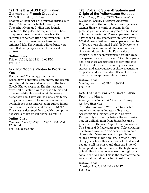# **421 The Era of JS Bach: Italian, German and French Creativity**

#### *Chris Burns, Many-Strings*

Imagine an hour with the musical virtuosity of Bach, Telemann, Pachelbel, Corelli, and Couperin...German, Italian and French masters of the golden baroque period. These composers gave us musical pearls with charming ornamentation and invention. They recognized that music was a blessing that enhanced life. Their music will embrace you, and I'll share perspective and historical context.

#### **Online Class**

Friday, Jul 29, 6:00 PM - 7:00 PM Fee: \$12

## **422 Put Google Photos to Work for You**

#### *Deeva Garel, Technology Instructor*

Learn how to organize, edit, share, and backup your digital photos and videos with the free Google Photos program. The first session covers all this plus how to create albums and collages. While this session will be mostly demonstration, there will be some time to try things on your own. The second session is available for those interested in guided handson time and questions and answers. NOTE: This class is designed for use with a computer, not with a tablet or cell phone. Limit: 12

#### **Online Class**

Monday, Tuesday, Aug 1 - Aug 2, 10:30 AM - 12:00 PM Fee: \$20 2 sessions

# **423 Volcanic Super-Eruptions and Origin of the Yellowstone Hotspot**

*Victor Camp, Ph.D., SDSU Department of Geological Sciences Lecturer Emeritus* Do you realize that our planet has experienced extraordinary volcanic eruptions in the geologic past on a scale far greater than those of human experience? These super-eruptions have taken place somewhere on Earth every 100,000 years. Will our next super-eruption be at Yellowstone National Park? Yellowstone is underlain by an unusual plume of hot rock that extends well into the Earth's deep interior. It has been responsible for hundreds of super-eruptions that began 17 million years ago, and these are projected to continue into the future. Join us in examining the character, causes, and consequences of these spectacular eruptions and the probable effects of the next great super-eruption on planet Earth.

#### **Online Class**

Monday, Aug 1, 1:00 PM - 2:30 PM Fee: \$18

#### **424 The Samurai who Saved Jews From the Nazis**

#### *Lola Sparrowhawk, Int'l Award-Winning Author/Historian*

The advent of World War II led to terrible tragedies and amazing acts of bravery. Accepting his diplomatic post in Eastern Europe only six months before the war broke out, an unlikely man from Japan became a great hero of the war. A quiet man known as The Samurai defied orders from Tokyo, risking his life and career, to engineer a way to help thousands of Jews escape Europe. Never telling anyone of his heroism, it wasn't until thirty years later that a survivor he had saved began to tell his story, and then the State of Israel paid tribute to him with the high honor of including his name as one of the Righteous Among the Nations. This is the story of who he was, what he did, and what it cost him.

#### **Online Class**

Tuesday, Aug 2, 1:00 PM - 2:00 PM Fee: \$12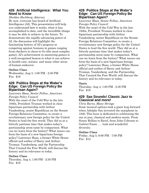## **426 Artificial Intelligence: What You Need to Know**

*Sheldon Hochberg, Attorney*

By now, everyone has heard of Artificial Intelligence (AI). This presentation will help you understand how it works, what it has accomplished to date, and the incredible things it may be able to achieve in the future. To demonstrate the rapidly-advancing power of AI, the discussion will highlight the fascinating history of AI's progress in competing against humans in games ranging from checkers to chess to Go (the most complex game). AI's achievement in mastering games is a well-recognized beacon to what it can achieve in health care, science, and many other areas of human endeavor.

#### **Online Class**

Wednesday, Aug 3, 1:00 PM - 2:30 PM Fee: \$18

#### **428 Politics Stops at the Water's Edge: Can US Foreign Policy Be Bipartisan Again?**

*Lawrence Haas, Senior Fellow, American Foreign Policy Council*

With the onset of the Cold War in the late 1940s, President Truman worked in close bipartisan partnership with Arthur Vandenberg, senior Republican on the Senate Foreign Relations Committee, to create a revolutionary new foreign policy for the United States to lead the free world. They did so at a bitterly partisan time that makes today's partisanship seem tame by comparison. What can we learn from the history? What issues can form the basis of a new bipartisan foreign policy? Lawrence Haas, a former White House official and author of Harry and Arthur: Truman, Vandenberg, and the Partnership That Created the Free World, will discuss the history and its relevance to today.

#### **Online Class**

Thursday, Aug 4, 1:00 PM - 2:30 PM Fee: \$18

## **428 Politics Stops at the Water's Edge: Can US Foreign Policy Be Bipartisan Again?**

*Lawrence Haas, Senior Fellow, American Foreign Policy Council*

With the onset of the Cold War in the late 1940s, President Truman worked in close bipartisan partnership with Arthur Vandenberg, senior Republican on the Senate Foreign Relations Committee, to create a revolutionary new foreign policy for the United States to lead the free world. They did so at a bitterly partisan time that makes today's partisanship seem tame by comparison. What can we learn from the history? What issues can form the basis of a new bipartisan foreign policy? Lawrence Haas, a former White House official and author of Harry and Arthur: Truman, Vandenberg, and the Partnership That Created the Free World, will discuss the history and its relevance to today.

#### **Oasis**

Thursday, Aug 4, 1:00 PM - 2:30 PM Fee: \$18

## **429 Sax Sounds! Classic Jazz to Classical and more!**

*Chris Burns, Many-Strings*

Sonic musical options took a giant leap forward when Adolphe Sax invented the saxophone in 1840. This hour is dedicated to celebrating the sax in jazz, classical and modern music. From Sonny Rollins to Ravel, from John Coltrane to Gabriel Faure . . . lush and wonderful diversity.

#### **Online Class**

Friday, Aug 5, 6:00 PM - 7:00 PM Fee: \$12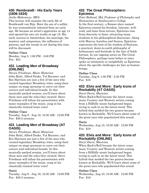## **430 Rembrandt - His Early Years (1606-1634)**

#### *Aniko Makranczy, MFA*

This lecture will examine the early life of Rembrandt van Rijn. Born the son of a miller, he was tremendously talented from an early age. He became an artist's apprentice at age 14 and opened his own art studio at age 18. His early success in Amsterdam, his marriage, his mastery and uniqueness, the influence of patrons, and the trends in art during this time will be discussed.

#### **Online Class**

Monday, Aug 8, 1:00 PM - 3:00 PM Fee: \$24

## **431 Leading Men of Broadway (ONLINE)**

*Steven Friedman, Music Historian* John Raitt, Alfred Drake, Yul Brynner, and Rex Harrison are just a few of the men who created legendary Broadway roles, using their unique on-stage personae to carve out their careers and individual brands. In this musically-packed session, you'll learn about these men and the roles they created. Steve Friedman will infuse his presentation with many examples of the music, sung in his classically-trained tenor voice!

#### **Online Class**

Tuesday, Aug 9 - Aug 16, 10:30 AM - 12:00 PM Fee: \$36 2 sessions

# **431 Leading Men of Broadway (AT OASIS)**

*Steven Friedman, Music Historian* John Raitt, Alfred Drake, Yul Brynner, and Rex Harrison are just a few of the men who created legendary Broadway roles, using their unique on-stage personae to carve out their careers and individual brands. In this musically-packed session, you'll learn about these men and the roles they created. Steve Friedman will infuse his presentation with many examples of the music, sung in his classically-trained tenor voice!

#### **Oasis**

Tuesday, Aug 9 - Aug 16, 10:30 AM - 12:00 PM Fee: \$36 2 sessions

## **432 The Great Philosophers: Epictetus**

*Peter Bolland, MA, Professor of Philosophy and Humanities at Southwestern College* In the first century, a Roman slave named Epictetus earned his freedom. Literate, wellread, and lame from torture, Epictetus rose from obscurity to fame, attracting many students to his philosophical discourses. Along with Marcus Aurelius and Seneca, Epictetus represents the best of the wisdom of Stoicism, a practical, down-to-earth philosophy of forbearance and fortitude in the face of fickle fortune. In our ongoing series on The Great Philosophers, perhaps none before or since spoke as intimately or insightfully as Epictetus about the specific challenges we face as human beings.

#### **Online Class**

Tuesday, Aug 9, 1:00 PM - 2:30 PM Fee: \$18

# **433 Elvis and More: Early Icons of Rockabilly (AT OASIS)**

*Daryl Davis, Musician*

When Rock'n'Roll became the latest craze, many Country and Western artists coming from a Hillbilly music background began trying to cash in on the latest trend. This hybrid that melded the two genres became known as Rockabilly. We'll learn about some of the great ones who popularized this sound.

#### **Oasis**

Wednesday, Aug 10, 10:30 AM - 12:00 PM Fee: \$18

# **433 Elvis and More: Early Icons of Rockabilly (ONLINE)**

*Daryl Davis, Musician*

When Rock'n'Roll became the latest craze, many Country and Western artists coming from a Hillbilly music background began trying to cash in on the latest trend. This hybrid that melded the two genres became known as Rockabilly. We'll learn about some of the great ones who popularized this sound.

#### **Online Class**

Wednesday, Aug 10, 10:30 AM - 12:00 PM Fee: \$18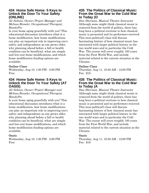#### **434 Home Safe Home: 5 Keys to Unlock the Door To Your Safety (ONLINE)**

*Ali Soltani, Owner/Project Manager and Melissa Bressler, Occupational Therapist, HandyPro*

Is your home aging gracefully with you? This educational discussion introduces what is a home modification, how home modifications can play an important role in improving one's safety and independence as one grows older, why planning ahead before a fall or health condition can be beneficial, what are simple and low-cost home modifications, and which home modification funding options are available.

#### **Online Class**

Wednesday, Aug 10, 1:00 PM - 2:00 PM Free

## **434 Home Safe Home: 5 Keys to Unlock the Door To Your Safety (AT OASIS)**

*Ali Soltani, Owner/Project Manager and Melissa Bressler, Occupational Therapist, HandyPro*

Is your home aging gracefully with you? This educational discussion introduces what is a home modification, how home modifications can play an important role in improving one's safety and independence as one grows older, why planning ahead before a fall or health condition can be beneficial, what are simple and low-cost home modifications, and which home modification funding options are available.

#### **Oasis**

Wednesday, Aug 10, 1:00 PM - 2:00 PM Free

# **435 The Politics of Classical Music: From the Great War to the Cold War to Today (O**

*Dan Sherman, Musical Theatre Instructor* Although some might think classical music is removed from the world of politics, there has long been a political overtone to how classical music is presented and its performers received. This (non-political!) class will discuss fascinating history of how classical music has interacted with larger political history in the two world wars and in particular the Cold War. The course will cover roughly 100 years from the First World War, and include material related to the current situation in the Ukraine.

## **Online Class**

Thursday, Aug 11, 10:30 AM - 12:00 PM Fee: \$18

## **435 The Politics of Classical Music: From the Great War to the Cold War to Today (A**

*Dan Sherman, Musical Theatre Instructor* Although some might think classical music is removed from the world of politics, there has long been a political overtone to how classical music is presented and its performers received. This (non-political!) class will discuss fascinating history of how classical music has interacted with larger political history in the two world wars and in particular the Cold War. The course will cover roughly 100 years from the First World War, and include material related to the current situation in the Ukraine.

#### **Oasis**

Thursday, Aug 11, 10:30 AM - 12:00 PM Fee: \$18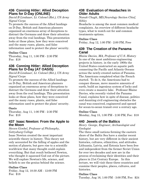## **436 Conning Hitler: Allied Deception Plans for D-Day (ONLINE)**

#### *David B Lindauer, Lt. Colonel (Ret.), US Army Signal Corps*

To promote the success of the Allied landings on D-Day, British and American planners organized an enormous array of deceptions to distract the Germans and draw their attention away from the real landings. This presentation looks at those plans, how they were conceived and the many ruses, plants, and false information used to protect the plans' security.

#### **Online Class**

Thursday, Aug 11, 1:00 PM - 2:30 PM Fee: \$18

# **436 Conning Hitler: Allied Deception Plans for D-Day (AT OASIS)**

*David B Lindauer, Lt. Colonel (Ret.), US Army Signal Corps*

To promote the success of the Allied landings on D-Day, British and American planners organized an enormous array of deceptions to distract the Germans and draw their attention away from the real landings. This presentation looks at those plans, how they were conceived and the many ruses, plants, and false information used to protect the plans' security.

# **Oasis**

Thursday, Aug 11, 1:00 PM - 2:30 PM Fee: \$18

# **437 Isaac Newton: From the Apple to the Moon**

*Steven Gimbel, Professor of Philosophy, Gettysburg College*

Isaac Newton created the most important scientific theory in history. This theory not only accounted for the falling of apples and the motion of planets, but gave rise to a scientific worldview that many thought could explain everything. But that result bothered Newton, who thought it squeezed God out of the picture. We will explore Newton's life, science, and beliefs to see the genius behind the science.

## **Online Class**

Friday, Aug 12, 10:30 AM - 12:00 PM Fee: \$18

# **438 Evaluation of Headaches in Older Adults**

*Nanak Chugh, MD,Neurology Section Chief, Sibley*

Headache is among the most common medical complaints. An overview of different headache types, what to watch out for and common treatments options.

#### **Online Class**

Friday, Aug 12, 1:00 PM - 2:00 PM, Free

# **439 The Creation of the Panama Canal**

*Blaine Davies, MA, Professor of U.S. History* In one of the most ambitious engineering projects in history, in the early 1900s the United States constructed an aquatic path connecting the Pacific and Atlantic Oceans across the newly-created nation of Panama. The Americans completed what the French started. To do it, the Americans had to conquer disease, move massive amounts of earth, build an ingenious system of locks and even create a massive lake. Professor Blaine Davies, who recently visited the Panama Canal, explains how in spite of disease, politics and daunting civil engineering obstacles the canal was conceived, engineered and opened for ocean-to-ocean transit over a century ago.

# **Online Class**

Monday, Aug 15, 1:00 PM - 2:30 PM, Fee: \$18

# **440 Jewels of the Baltics**

#### *Henry George, Engineer, Archaeologist and Geologist*

The three small nations forming the eastern shore of the Baltic Sea have a similar recent history, but are very different in their ancient histories, cultures, ethnicities, and attitudes. Lithuania, Latvia, and Estonia have been free and independent from the former Soviet Union for over two decades and now are in the process of reclaiming their identities and their places in 21st Century Europe. In this lecture, we will visit these three countries and examine their peoples, places, cultures, and histories.

## **Online Class**

Tuesday, Aug 16, 1:00 PM - 3:00 PM, Fee: \$24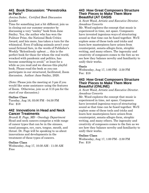# **441 Book Discussion: "Perestroika in Paris"**

#### *Jonina Duker, Certified Book Discussion Leader*

Time for something just a bit different; join us in closing out our summer semester by discussing a very "smiley" book from Jane Smiley. Yes, the author who has won the Pulitzer Prize, the National Book Critics Award, and lots more, has taken a turn for the whimsical. Even if talking animals aren't your usual fictional fare, in the words of Publisher's Weekly "Relentlessly upbeat … this is the perfect book for those for whom the real world, wracked with pandemic and politics, has become something to avoid." at least for a while as you read and we discuss this playful book. Please read the book so you can participate in our structured, facilitated, Zoom discussion. Author: Jane Smiley, 2020.

(Note: Please join the meeting at 3 pm if you would like some assistance using the features of Zoom. Otherwise, join us at 3:15 pm for the start of our discussion.)

#### **Online Class**

Tuesday, Aug 16, 03:00 PM - 04:30 PM Fee: \$18

# **442 Innovations in Head and Neck Cancer Treatments**

*Brandi R. Page, MD - Oncology Department* Head and neck cancers comprise a wide range of cancer types that can be in the sinuses, nasal passages, eye, ears, tongue, mouth, and throat. Dr. Page will be speaking to us about innovations and developments in the treatment of these types of cancers.

#### **Online Class**

Wednesday, Aug 17, 10:30 AM - 11:30 AM Free

#### **443 How Great Composers Structure Their Pieces to Make Them More Beautiful (AT OASIS**

*A. Scott Wood, Artistic and Executive Director. Amadeus Concerts*

Mr. Wood explores the concept that music is experienced in time, not space. Composers have invented ingenious ways of structuring sound so that time can be fused together. We'll explore some of these tools and tricks and learn how masterpieces have arisen from counterpoint, sonata-allegro form, strophic writing, and many others. The ingenuity and creativity of composers comes to the fore as we see how they balance novelty and familiarity to unify their works.

#### **Oasis**

Wednesday, Aug 17, 1:00 PM - 2:30 PM Fee: \$18

#### **443 How Great Composers Structure Their Pieces to Make Them More Beautiful (ONLINE)**

*A. Scott Wood, Artistic and Executive Director. Amadeus Concerts*

Mr. Wood explores the concept that music is experienced in time, not space. Composers have invented ingenious ways of structuring sound so that time can be fused together. We'll explore some of these tools and tricks and learn how masterpieces have arisen from counterpoint, sonata-allegro form, strophic writing, and many others. The ingenuity and creativity of composers comes to the fore as we see how they balance novelty and familiarity to unify their works.

#### **Online Class**

Wednesday, Aug 17, 1:00 PM - 2:30 PM Fee: \$18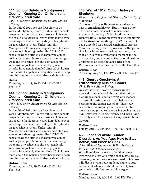#### **444 School Safety in Montgomery County: Keeping Our Children and Grandchildren Safe**

#### *John McCarthy, Montgomery County State's Attorney*

In the fall of 2021, for the first time in 19 years, Montgomery County public high schools reopened without a police presence. This was the result of a vigorous, years-long debate over racial equity and student safety in Maryland's largest school system. Unfortunately, Montgomery County also experienced its firstever school shooting during the 2021-2022 school year; the student charged was armed with a ghost gun. More students have brought weapons into schools in the past academic year. And reports of verbal and physical attacks have nearly doubled since 2019. Learn more about the policies being discussed to keep our children and grandchildren safe in schools.

#### **Oasis**

Thursday, Aug 18, 10:30 AM - 12:00 PM Fee: \$18

## **444 School Safety in Montgomery County: Keeping Our Children and Grandchildren Safe**

#### *John McCarthy, Montgomery County State's Attorney*

In the fall of 2021, for the first time in 19 years, Montgomery County public high schools reopened without a police presence. This was the result of a vigorous, years-long debate over racial equity and student safety in Maryland's largest school system. Unfortunately, Montgomery County also experienced its firstever school shooting during the 2021-2022 school year; the student charged was armed with a ghost gun. More students have brought weapons into schools in the past academic year. And reports of verbal and physical attacks have nearly doubled since 2019. Learn more about the policies being discussed to keep our children and grandchildren safe in schools.

#### **Online Class**

Thursday, Aug 18, 10:30 AM - 12:00 PM Fee: \$18

# **445 War of 1812: Out of History's Shadows**

#### *Richard Bell, Professor of History, University of Maryland*

The War of 1812 is the most misunderstood war in American history. But it turns out to have been nothing short of momentous, explains University of Maryland historian Richard Bell. Fought on three fronts, including on the streets of Washington, DC, the War of 1812 unfolded on a grand continental canvas. More than simply the inspiration for the poem that later became our national anthem, the War of 1812 was a watershed moment in the history of a young republic that should best be understood as both the last battle of the Revolution and the first battle of the Civil War.

## **Online Class**

Thursday, Aug 18, 1:00 PM - 2:30 PM, Fee:\$18

# **448 George Gershwin: An Extraordinary Musical Comet**

*Chris Burns, Many-Strings*

George Gershwin was an extraordinary musical comet whose light included unique blendings of jazz, popular song, and modern orchestral masterpieces . . . all before his passing at the tender age of 38. This hour celebrates his unique gifts. Let's recall his days making piano rolls, creating such gems as "An American in Paris," "Porgy and Bess," and his Hollywood film scores. A very special hour for you!

## **Online Class**

Friday, Aug 19, 6:00 PM - 7:00 PM, Fee: \$12

#### **450 Foot and Ankle Tendon Disorders As You Age: How to Stay Active, and When to Seek**

*John Michael Thompson, M.D. - Assistant Professor of Orthopaedic Surgery*

We will explore a variety of tendon issues involving the foot and ankle that may slow you down as you become more seasoned in life. We will discuss what you can do at home to stay active, and when you should seek help from your orthopedic foot and ankle surgeon.

#### **Online Class**

Monday, Aug 22, 1:00 PM - 2:00 PM, Free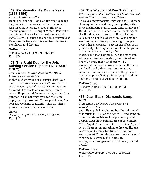## **449 Rembrandt - His Middle Years (1636-1656)**

#### *Aniko Makranczy, MFA*

During this period Rembrandt's fame reaches its pinnacle. He marries and buys a home in Amsterdam, he creates three of his most famous paintings,The Night Watch, Portrait of Jan Six and his well known self-portrait of 1640. We will discuss the changing art world of Rembrandt's time and his eventual decline in popularity and fortune.

#### **Online Class**

Monday, Aug 22, 1:00 PM - 3:00 PM Fee: \$24

## **451 The Right Dog for the Job: Raising Service Puppies (AT OASIS ONLY)**

#### *Terri Binder, Guiding Eyes for the Blind Volunteer Puppy Raiser*

Is that a therapy dog or a service dog? Ever heard of an assistance peacock? Learn about the different types of assistance animals and delve into the world of a volunteer puppy raiser. Be prepared for some puppy antics from puppies in the Guiding Eyes for the Blind puppy raising program. Young people age 6 or over are welcome to attend – sign up with a grandchild, niece, nephew or friend!

#### **Oasis**

Tuesday, Aug 23, 10:30 AM - 11:30 AM Fee: \$12

# **452 The Wisdom of Zen Buddhism**

*Peter Bolland, MA, Professor of Philosophy and Humanities at Southwestern College* There are many fascinating forms of Buddhism thriving in the world today, and perhaps the most fascinating of all is Zen. Like all forms of Buddhism, Zen roots back to the teachings of the Buddha, a sixth century B.C.E. Indian reformer and spiritual teacher. What makes Zen unique and deeply appealing to people everywhere, especially here in the West, is its practicality, its simplicity, and its willingness to challenge the authority of our institutionalized thinking. Zen is a paradox. At once ancient and modern, disciplined and liberal, deeply traditional and wildly irreverent, Zen strips away from us all that is artificial until only our authentic nature remains. Join us as we uncover the practices and principles of this profoundly spiritual and eminently practical wisdom tradition.

#### **Online Class**

Tuesday, Aug 23, 1:00 PM - 2:30 PM Fee: \$18

## **453 Joan Baez: Diamonds & Rust**

#### *Jane Ellen, Performer, Composer, and Recording Artist*

Joan Baez (1941- ) released her first album of folk music in 1960 at the age of 19 and went on to contribute to folk rock, pop, country, and gospel. With eight gold albums, a gold single ("The Night They Drove Old Dixie Down"), and seven Grammy nominations to her credit, she received a Grammy Lifetime Achievement Award in 2007. Popularly known as a singer of other people's work, she is also an accomplished songwriter as well as a political activist.

#### **Online Class**

Wednesday, Aug 24, 1:00 PM - 2:30 PM Fee: \$18